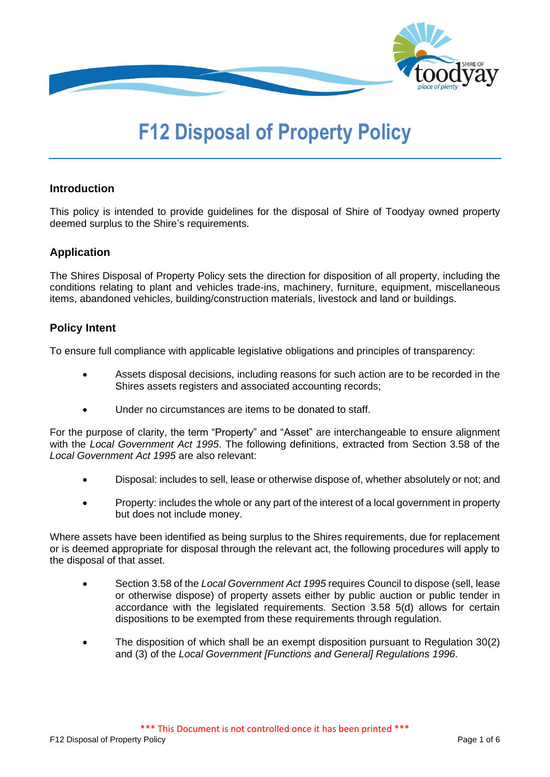

# **F12 Disposal of Property Policy**

# **Introduction**

This policy is intended to provide guidelines for the disposal of Shire of Toodyay owned property deemed surplus to the Shire's requirements.

# **Application**

The Shires Disposal of Property Policy sets the direction for disposition of all property, including the conditions relating to plant and vehicles trade-ins, machinery, furniture, equipment, miscellaneous items, abandoned vehicles, building/construction materials, livestock and land or buildings.

# **Policy Intent**

To ensure full compliance with applicable legislative obligations and principles of transparency:

- Assets disposal decisions, including reasons for such action are to be recorded in the Shires assets registers and associated accounting records;
- Under no circumstances are items to be donated to staff.

For the purpose of clarity, the term "Property" and "Asset" are interchangeable to ensure alignment with the *Local Government Act 1995*. The following definitions, extracted from Section 3.58 of the *Local Government Act 1995* are also relevant:

- Disposal: includes to sell, lease or otherwise dispose of, whether absolutely or not; and
- Property: includes the whole or any part of the interest of a local government in property but does not include money.

Where assets have been identified as being surplus to the Shires requirements, due for replacement or is deemed appropriate for disposal through the relevant act, the following procedures will apply to the disposal of that asset.

- Section 3.58 of the *Local Government Act 1995* requires Council to dispose (sell, lease or otherwise dispose) of property assets either by public auction or public tender in accordance with the legislated requirements. Section 3.58 5(d) allows for certain dispositions to be exempted from these requirements through regulation.
- The disposition of which shall be an exempt disposition pursuant to Regulation 30(2) and (3) of the *Local Government [Functions and General] Regulations 1996*.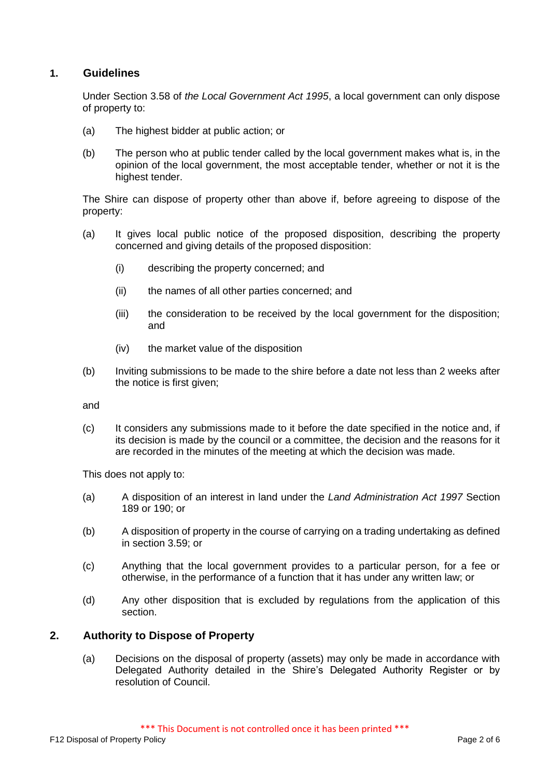# **1. Guidelines**

Under Section 3.58 of *the Local Government Act 1995*, a local government can only dispose of property to:

- (a) The highest bidder at public action; or
- (b) The person who at public tender called by the local government makes what is, in the opinion of the local government, the most acceptable tender, whether or not it is the highest tender.

The Shire can dispose of property other than above if, before agreeing to dispose of the property:

- (a) It gives local public notice of the proposed disposition, describing the property concerned and giving details of the proposed disposition:
	- (i) describing the property concerned; and
	- (ii) the names of all other parties concerned; and
	- (iii) the consideration to be received by the local government for the disposition; and
	- (iv) the market value of the disposition
- (b) Inviting submissions to be made to the shire before a date not less than 2 weeks after the notice is first given:

and

(c) It considers any submissions made to it before the date specified in the notice and, if its decision is made by the council or a committee, the decision and the reasons for it are recorded in the minutes of the meeting at which the decision was made.

This does not apply to:

- (a) A disposition of an interest in land under the *Land Administration Act 1997* Section 189 or 190; or
- (b) A disposition of property in the course of carrying on a trading undertaking as defined in section 3.59; or
- (c) Anything that the local government provides to a particular person, for a fee or otherwise, in the performance of a function that it has under any written law; or
- (d) Any other disposition that is excluded by regulations from the application of this section.

## **2. Authority to Dispose of Property**

(a) Decisions on the disposal of property (assets) may only be made in accordance with Delegated Authority detailed in the Shire's Delegated Authority Register or by resolution of Council.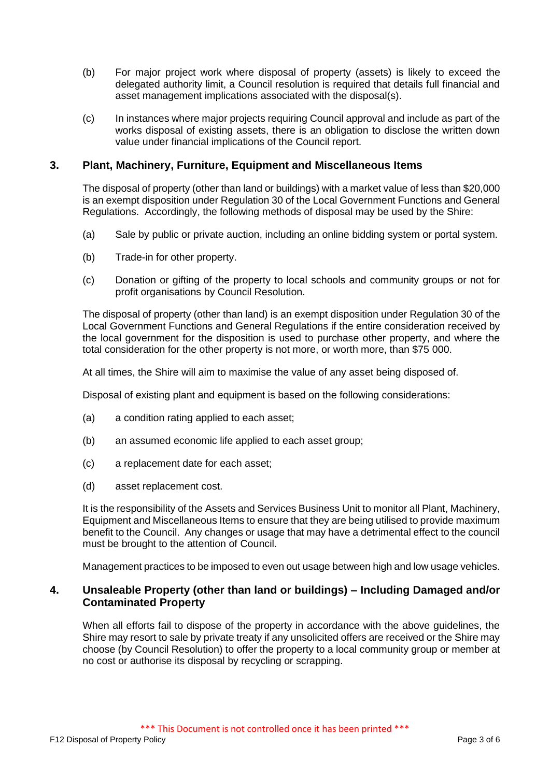- (b) For major project work where disposal of property (assets) is likely to exceed the delegated authority limit, a Council resolution is required that details full financial and asset management implications associated with the disposal(s).
- (c) In instances where major projects requiring Council approval and include as part of the works disposal of existing assets, there is an obligation to disclose the written down value under financial implications of the Council report.

# **3. Plant, Machinery, Furniture, Equipment and Miscellaneous Items**

The disposal of property (other than land or buildings) with a market value of less than \$20,000 is an exempt disposition under Regulation 30 of the Local Government Functions and General Regulations. Accordingly, the following methods of disposal may be used by the Shire:

- (a) Sale by public or private auction, including an online bidding system or portal system.
- (b) Trade-in for other property.
- (c) Donation or gifting of the property to local schools and community groups or not for profit organisations by Council Resolution.

The disposal of property (other than land) is an exempt disposition under Regulation 30 of the Local Government Functions and General Regulations if the entire consideration received by the local government for the disposition is used to purchase other property, and where the total consideration for the other property is not more, or worth more, than \$75 000.

At all times, the Shire will aim to maximise the value of any asset being disposed of.

Disposal of existing plant and equipment is based on the following considerations:

- (a) a condition rating applied to each asset;
- (b) an assumed economic life applied to each asset group;
- (c) a replacement date for each asset;
- (d) asset replacement cost.

It is the responsibility of the Assets and Services Business Unit to monitor all Plant, Machinery, Equipment and Miscellaneous Items to ensure that they are being utilised to provide maximum benefit to the Council. Any changes or usage that may have a detrimental effect to the council must be brought to the attention of Council.

Management practices to be imposed to even out usage between high and low usage vehicles.

## **4. Unsaleable Property (other than land or buildings) – Including Damaged and/or Contaminated Property**

When all efforts fail to dispose of the property in accordance with the above guidelines, the Shire may resort to sale by private treaty if any unsolicited offers are received or the Shire may choose (by Council Resolution) to offer the property to a local community group or member at no cost or authorise its disposal by recycling or scrapping.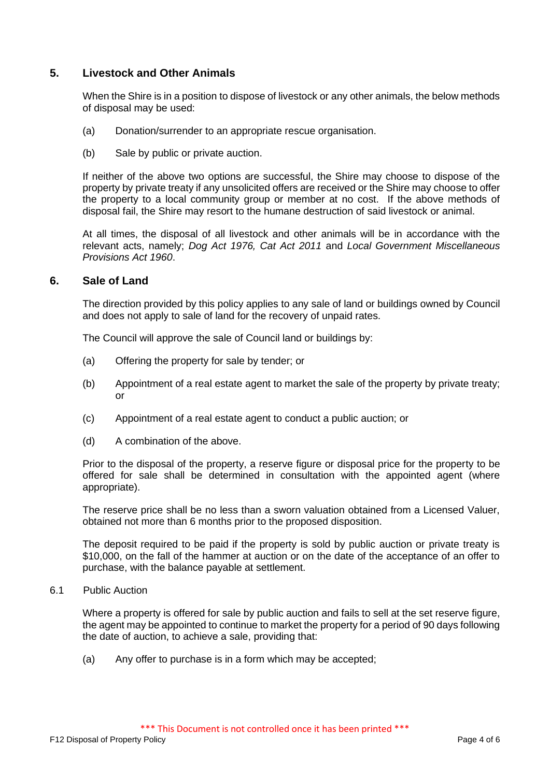# **5. Livestock and Other Animals**

When the Shire is in a position to dispose of livestock or any other animals, the below methods of disposal may be used:

- (a) Donation/surrender to an appropriate rescue organisation.
- (b) Sale by public or private auction.

If neither of the above two options are successful, the Shire may choose to dispose of the property by private treaty if any unsolicited offers are received or the Shire may choose to offer the property to a local community group or member at no cost. If the above methods of disposal fail, the Shire may resort to the humane destruction of said livestock or animal.

At all times, the disposal of all livestock and other animals will be in accordance with the relevant acts, namely; *Dog Act 1976, Cat Act 2011* and *Local Government Miscellaneous Provisions Act 1960*.

## **6. Sale of Land**

The direction provided by this policy applies to any sale of land or buildings owned by Council and does not apply to sale of land for the recovery of unpaid rates.

The Council will approve the sale of Council land or buildings by:

- (a) Offering the property for sale by tender; or
- (b) Appointment of a real estate agent to market the sale of the property by private treaty; or
- (c) Appointment of a real estate agent to conduct a public auction; or
- (d) A combination of the above.

Prior to the disposal of the property, a reserve figure or disposal price for the property to be offered for sale shall be determined in consultation with the appointed agent (where appropriate).

The reserve price shall be no less than a sworn valuation obtained from a Licensed Valuer, obtained not more than 6 months prior to the proposed disposition.

The deposit required to be paid if the property is sold by public auction or private treaty is \$10,000, on the fall of the hammer at auction or on the date of the acceptance of an offer to purchase, with the balance payable at settlement.

## 6.1 Public Auction

Where a property is offered for sale by public auction and fails to sell at the set reserve figure, the agent may be appointed to continue to market the property for a period of 90 days following the date of auction, to achieve a sale, providing that:

(a) Any offer to purchase is in a form which may be accepted;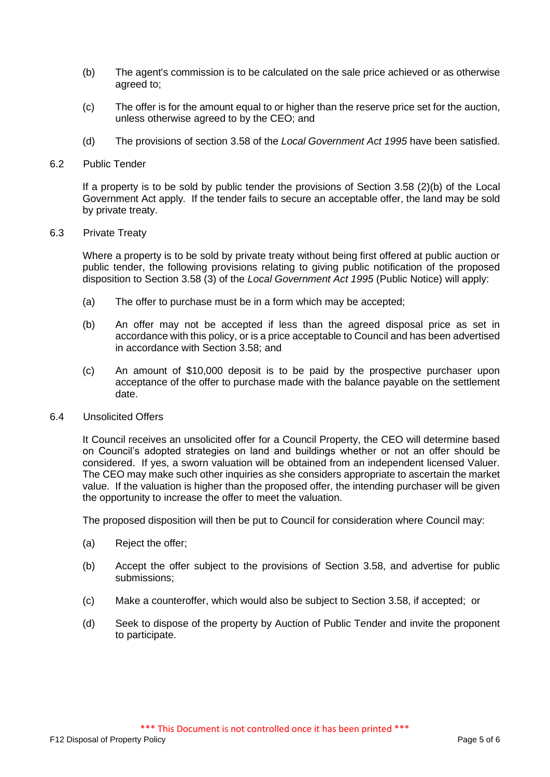- (b) The agent's commission is to be calculated on the sale price achieved or as otherwise agreed to;
- (c) The offer is for the amount equal to or higher than the reserve price set for the auction, unless otherwise agreed to by the CEO; and
- (d) The provisions of section 3.58 of the *Local Government Act 1995* have been satisfied.

## 6.2 Public Tender

If a property is to be sold by public tender the provisions of Section 3.58 (2)(b) of the Local Government Act apply*.* If the tender fails to secure an acceptable offer, the land may be sold by private treaty.

## 6.3 Private Treaty

Where a property is to be sold by private treaty without being first offered at public auction or public tender, the following provisions relating to giving public notification of the proposed disposition to Section 3.58 (3) of the *Local Government Act 1995* (Public Notice) will apply:

- (a) The offer to purchase must be in a form which may be accepted;
- (b) An offer may not be accepted if less than the agreed disposal price as set in accordance with this policy, or is a price acceptable to Council and has been advertised in accordance with Section 3.58; and
- (c) An amount of \$10,000 deposit is to be paid by the prospective purchaser upon acceptance of the offer to purchase made with the balance payable on the settlement date.

#### 6.4 Unsolicited Offers

It Council receives an unsolicited offer for a Council Property, the CEO will determine based on Council's adopted strategies on land and buildings whether or not an offer should be considered. If yes, a sworn valuation will be obtained from an independent licensed Valuer. The CEO may make such other inquiries as she considers appropriate to ascertain the market value. If the valuation is higher than the proposed offer, the intending purchaser will be given the opportunity to increase the offer to meet the valuation.

The proposed disposition will then be put to Council for consideration where Council may:

- (a) Reject the offer;
- (b) Accept the offer subject to the provisions of Section 3.58, and advertise for public submissions;
- (c) Make a counteroffer, which would also be subject to Section 3.58, if accepted; or
- (d) Seek to dispose of the property by Auction of Public Tender and invite the proponent to participate.